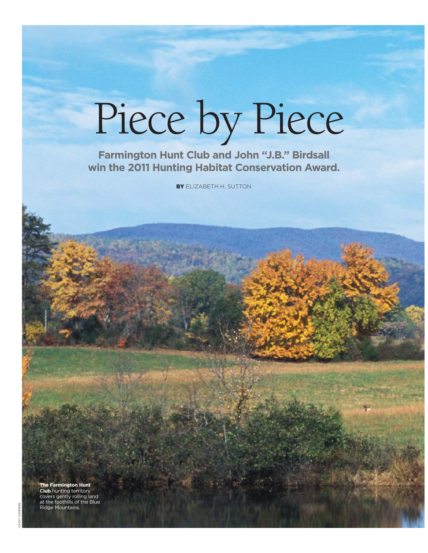## Piece by Piece

**Farmington Hunt Club and John "J.B." Birdsall win the 2011 Hunting Habitat Conservation Award.**

BY ELIZABETH H. SUTTON

**The Farmington Hunt Club** hunting territory covers gently rolling land at the foothills of the Blue Ridge Mountains.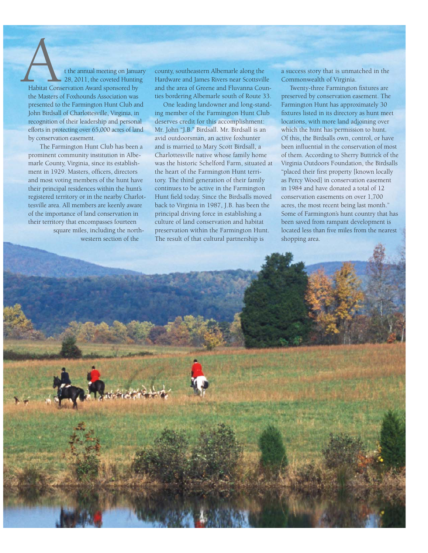t the annual meeting on January 28, 2011, the coveted Hunting Habitat Conservation Award sponsored by the Masters of Foxhounds Association was presented to the Farmington Hunt Club and John Birdsall of Charlottesville, Virginia, in recognition of their leadership and personal efforts in protecting over 65,000 acres of land by conservation easement. Habitat Cons

 The Farmington Hunt Club has been a prominent community institution in Albemarle County, Virginia, since its establishment in 1929. Masters, officers, directors and most voting members of the hunt have their principal residences within the hunt's registered territory or in the nearby Charlottesville area. All members are keenly aware of the importance of land conservation in their territory that encompasses fourteen square miles, including the northwestern section of the

county, southeastern Albemarle along the Hardware and James Rivers near Scottsville and the area of Greene and Fluvanna Counties bordering Albemarle south of Route 33.

One leading landowner and long-standing member of the Farmington Hunt Club deserves credit for this accomplishment: Mr. John "J.B." Birdsall. Mr. Birdsall is an avid outdoorsman, an active foxhunter and is married to Mary Scott Birdsall, a Charlottesville native whose family home was the historic Schelford Farm, situated at the heart of the Farmington Hunt territory. The third generation of their family continues to be active in the Farmington Hunt field today. Since the Birdsalls moved back to Virginia in 1987, J.B. has been the principal driving force in establishing a culture of land conservation and habitat preservation within the Farmington Hunt. The result of that cultural partnership is

a success story that is unmatched in the Commonwealth of Virginia.

Twenty-three Farmington fixtures are preserved by conservation easement. The Farmington Hunt has approximately 30 fixtures listed in its directory as hunt meet locations, with more land adjoining over which the hunt has permission to hunt. Of this, the Birdsalls own, control, or have been influential in the conservation of most of them. According to Sherry Buttrick of the Virginia Outdoors Foundation, the Birdsalls "placed their first property [known locally as Percy Wood] in conservation easement in 1984 and have donated a total of 12 conservation easements on over 1,700 acres, the most recent being last month." Some of Farmington's hunt country that has been saved from rampant development is located less than five miles from the nearest shopping area.

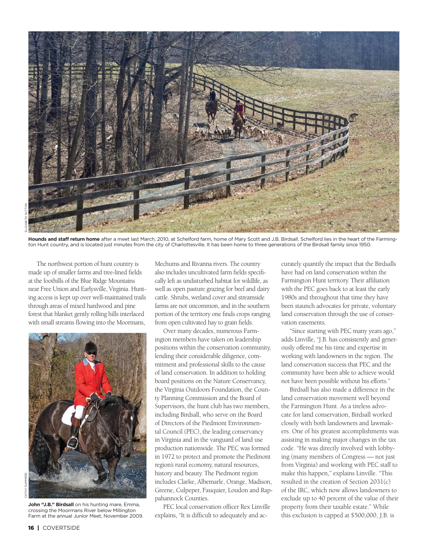

**Hounds and staff return home** after a meet last March, 2010, at Schelford farm, home of Mary Scott and J.B. Birdsall. Schelford lies in the heart of the Farmington Hunt country, and is located just minutes from the city of Charlottesville. It has been home to three generations of the Birdsall family since 1950.

The northwest portion of hunt country is made up of smaller farms and tree-lined fields at the foothills of the Blue Ridge Mountains near Free Union and Earlysville, Virginia. Hunting access is kept up over well-maintained trails through areas of mixed hardwood and pine forest that blanket gently rolling hills interlaced with small streams flowing into the Moormans,



John "J.B." Birdsall on his hunting mare, Emma, crossing the Moormans River below Millington Farm at the annual Junior Meet, November 2009.

Mechums and Rivanna rivers. The country also includes uncultivated farm fields specifically left as undisturbed habitat for wildlife, as well as open pasture grazing for beef and dairy cattle. Shrubs, wetland cover and streamside farms are not uncommon, and in the southern portion of the territory one finds crops ranging from open cultivated hay to grain fields.

Over many decades, numerous Farmington members have taken on leadership positions within the conservation community, lending their considerable diligence, commitment and professional skills to the cause of land conservation. In addition to holding board positions on the Nature Conservancy, the Virginia Outdoors Foundation, the County Planning Commission and the Board of Supervisors, the hunt club has two members, including Birdsall, who serve on the Board of Directors of the Piedmont Environmental Council (PEC), the leading conservancy in Virginia and in the vanguard of land use production nationwide. The PEC was formed in 1972 to protect and promote the Piedmont region's rural economy, natural resources, history and beauty. The Piedmont region includes Clarke, Albemarle, Orange, Madison, Greene, Culpeper, Fauquier, Loudon and Rappahannock Counties.

PEC local conservation officer Rex Linville explains, "It is difficult to adequately and accurately quantify the impact that the Birdsalls have had on land conservation within the Farmington Hunt territory. Their affiliation with the PEC goes back to at least the early 1980s and throughout that time they have been staunch advocates for private, voluntary land conservation through the use of conservation easements.

"Since starting with PEC many years ago," adds Linville, "J.B. has consistently and generously offered me his time and expertise in working with landowners in the region. The land conservation success that PEC and the community have been able to achieve would not have been possible without his efforts."

Birdsall has also made a difference in the land conservation movement well beyond the Farmington Hunt. As a tireless advocate for land conservation, Birdsall worked closely with both landowners and lawmakers. One of his greatest accomplishments was assisting in making major changes in the tax code. "He was directly involved with lobbying (many members of Congress — not just from Virginia) and working with PEC staff to make this happen," explains Linville. "This resulted in the creation of Section 2031(c) of the IRC, which now allows landowners to exclude up to 40 percent of the value of their property from their taxable estate." While this exclusion is capped at \$500,000, J.B. is